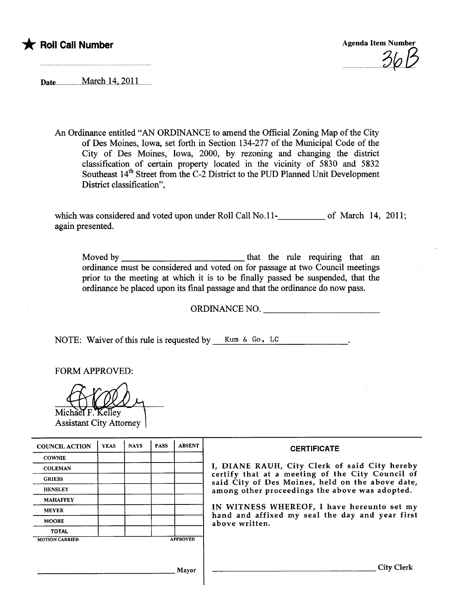

 $\cup \cup \cup$ 

Date.......................Ma.ch...4...ZQll..

An Ordinance entitled "AN ORDINANCE to amend the Official Zoning Map of the City of Des Moines, Iowa, set forth in Section i 34-277 of the Muncipal Code of the City of Des Moines, Iowa, 2000, by rezoning and changing the district classification of certain property located in the vicinity of 5830 and 5832 Southeast 14<sup>th</sup> Street from the C-2 District to the PUD Planned Unit Development District classification",

which was considered and voted upon under Roll Call No.11-**\_\_\_\_\_\_\_\_\_** of March 14, 2011; again presented.

Moved by that the rue requinng that an ordinance must be considered and voted on for passage at two Council meetings prior to the meeting at which it is to be finally passed be suspended, that the ordinance be placed upon its final passage and that the ordinance do now pass.

ORDINANCE NO.

NOTE: Waiver of this rule is requested by Kum  $\&$  Go, LC

FORM APPROVED:

Michael F. Kelley

**Assistant City Attorney** 

| <b>COUNCIL ACTION</b> | <b>YEAS</b> | <b>NAYS</b> | <b>PASS</b> | <b>ABSENT</b>   | <b>CERTIFICATE</b>                                                                                                                                                                                                                                                                                                         |
|-----------------------|-------------|-------------|-------------|-----------------|----------------------------------------------------------------------------------------------------------------------------------------------------------------------------------------------------------------------------------------------------------------------------------------------------------------------------|
| <b>COWNIE</b>         |             |             |             |                 | I, DIANE RAUH, City Clerk of said City hereby<br>certify that at a meeting of the City Council of<br>said City of Des Moines, held on the above date,<br>among other proceedings the above was adopted.<br>IN WITNESS WHEREOF, I have hereunto set my<br>hand and affixed my seal the day and year first<br>above written. |
| <b>COLEMAN</b>        |             |             |             |                 |                                                                                                                                                                                                                                                                                                                            |
| <b>GRIESS</b>         |             |             |             |                 |                                                                                                                                                                                                                                                                                                                            |
| <b>HENSLEY</b>        |             |             |             |                 |                                                                                                                                                                                                                                                                                                                            |
| <b>MAHAFFEY</b>       |             |             |             |                 |                                                                                                                                                                                                                                                                                                                            |
| <b>MEYER</b>          |             |             |             |                 |                                                                                                                                                                                                                                                                                                                            |
| <b>MOORE</b>          |             |             |             |                 |                                                                                                                                                                                                                                                                                                                            |
| <b>TOTAL</b>          |             |             |             |                 |                                                                                                                                                                                                                                                                                                                            |
| <b>MOTION CARRIED</b> |             |             |             | <b>APPROVED</b> |                                                                                                                                                                                                                                                                                                                            |
|                       |             |             |             |                 |                                                                                                                                                                                                                                                                                                                            |
|                       |             |             |             | Mayor           | City Clerk                                                                                                                                                                                                                                                                                                                 |